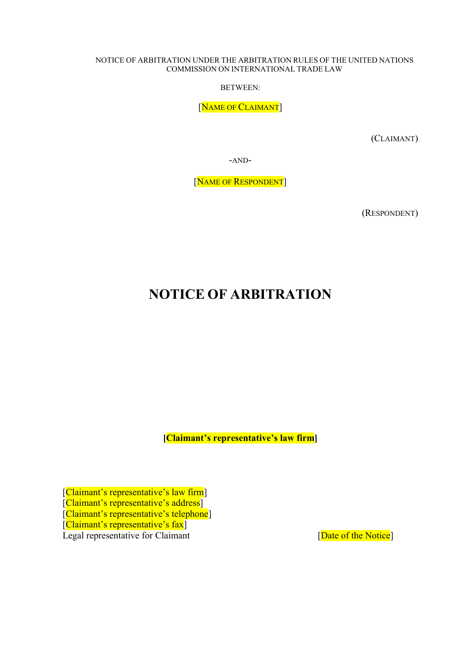#### NOTICE OF ARBITRATION UNDER THE ARBITRATION RULES OF THE UNITED NATIONS COMMISSION ON INTERNATIONAL TRADE LAW

BETWEEN:

[NAME OF CLAIMANT]

(CLAIMANT)

-AND-

[NAME OF RESPONDENT]

(RESPONDENT)

## NOTICE OF ARBITRATION

[Claimant's representative's law firm]

[Claimant's representative's law firm] [Claimant's representative's address] [Claimant's representative's telephone] [Claimant's representative's fax] Legal representative for Claimant [Date of the Notice]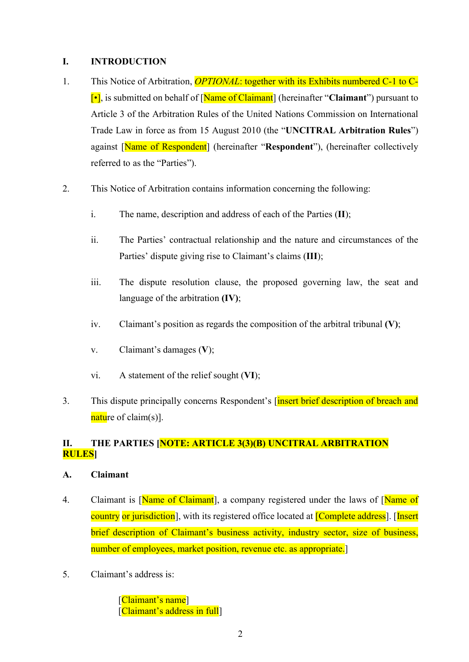#### I. INTRODUCTION

- 1. This Notice of Arbitration, *OPTIONAL*: together with its Exhibits numbered C-1 to C- $\lceil \cdot \rceil$ , is submitted on behalf of  $\lceil \text{Name of Claimant} \rceil$  (hereinafter "Claimant") pursuant to Article 3 of the Arbitration Rules of the United Nations Commission on International Trade Law in force as from 15 August 2010 (the "UNCITRAL Arbitration Rules") against [Name of Respondent] (hereinafter "Respondent"), (hereinafter collectively referred to as the "Parties").
- 2. This Notice of Arbitration contains information concerning the following:
	- i. The name, description and address of each of the Parties (II);
	- ii. The Parties' contractual relationship and the nature and circumstances of the Parties' dispute giving rise to Claimant's claims (III);
	- iii. The dispute resolution clause, the proposed governing law, the seat and language of the arbitration (IV);
	- iv. Claimant's position as regards the composition of the arbitral tribunal  $(V)$ ;
	- v. Claimant's damages (V);
	- vi. A statement of the relief sought (VI);
- 3. This dispute principally concerns Respondent's [insert brief description of breach and nature of claim(s)].

## II. THE PARTIES [NOTE: ARTICLE 3(3)(B) UNCITRAL ARBITRATION RULES]

#### A. Claimant

- 4. Claimant is [Name of Claimant], a company registered under the laws of [Name of country or jurisdiction], with its registered office located at **[Complete address**]. [Insert brief description of Claimant's business activity, industry sector, size of business, number of employees, market position, revenue etc. as appropriate.
- 5. Claimant's address is:

[Claimant's name] [Claimant's address in full]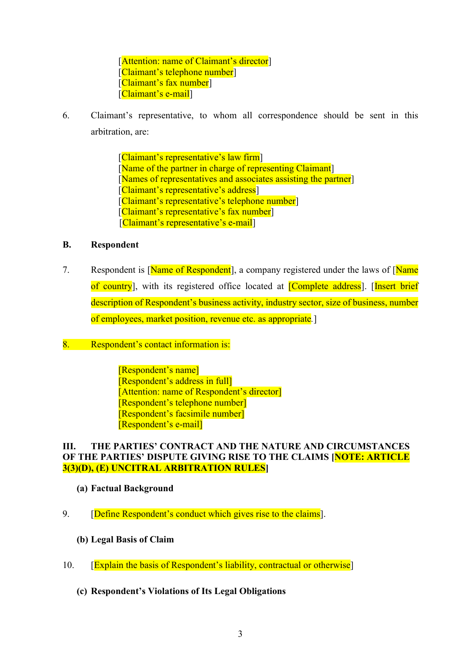[Attention: name of Claimant's director] [Claimant's telephone number] [Claimant's fax number] [Claimant's e-mail]

6. Claimant's representative, to whom all correspondence should be sent in this arbitration, are:

> [Claimant's representative's law firm] [Name of the partner in charge of representing Claimant] [Names of representatives and associates assisting the partner] [Claimant's representative's address] [Claimant's representative's telephone number] [Claimant's representative's fax number] [Claimant's representative's e-mail]

#### B. Respondent

- 7. Respondent is [Name of Respondent], a company registered under the laws of [Name] of country], with its registered office located at [Complete address]. [Insert brief description of Respondent's business activity, industry sector, size of business, number of employees, market position, revenue etc. as appropriate.]
- 8. Respondent's contact information is:

[Respondent's name] [Respondent's address in full] [Attention: name of Respondent's director] [Respondent's telephone number] [Respondent's facsimile number] [Respondent's e-mail]

#### III. THE PARTIES' CONTRACT AND THE NATURE AND CIRCUMSTANCES OF THE PARTIES' DISPUTE GIVING RISE TO THE CLAIMS **[NOTE: ARTICLE** 3(3)(D), (E) UNCITRAL ARBITRATION RULES]

- (a) Factual Background
- 9. **[Define Respondent's conduct which gives rise to the claims].** 
	- (b) Legal Basis of Claim
- 10. **[Explain the basis of Respondent's liability, contractual or otherwise]** 
	- (c) Respondent's Violations of Its Legal Obligations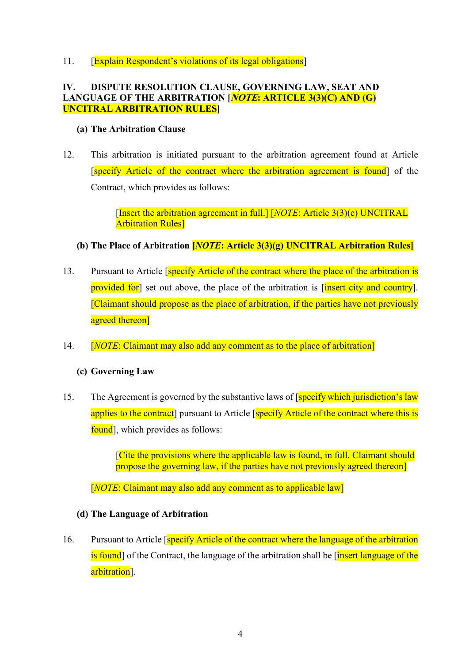11. **[Explain Respondent's violations of its legal obligations]** 

### IV. DISPUTE RESOLUTION CLAUSE, GOVERNING LAW, SEAT AND LANGUAGE OF THE ARBITRATION [*NOTE*: ARTICLE 3(3)(C) AND (G) UNCITRAL ARBITRATION RULES]

#### (a) The Arbitration Clause

12. This arbitration is initiated pursuant to the arbitration agreement found at Article [specify Article of the contract where the arbitration agreement is found] of the Contract, which provides as follows:

> [Insert the arbitration agreement in full.] [*NOTE*: Article 3(3)(c) UNCITRAL Arbitration Rules]

### (b) The Place of Arbitration  $[NOTE: Article 3(3)(g)$  UNCITRAL Arbitration Rules

- 13. Pursuant to Article [specify Article of the contract where the place of the arbitration is provided for set out above, the place of the arbitration is *[insert city and country]*. [Claimant should propose as the place of arbitration, if the parties have not previously agreed thereon]
- 14. [*NOTE*: Claimant may also add any comment as to the place of arbitration]

### (c) Governing Law

15. The Agreement is governed by the substantive laws of [specify which jurisdiction's law applies to the contract] pursuant to Article [specify Article of the contract where this is found], which provides as follows:

> [Cite the provisions where the applicable law is found, in full. Claimant should propose the governing law, if the parties have not previously agreed thereon]

[*NOTE*: Claimant may also add any comment as to applicable law]

#### (d) The Language of Arbitration

16. Pursuant to Article [specify Article of the contract where the language of the arbitration is found] of the Contract, the language of the arbitration shall be *[insert language of the*] arbitration].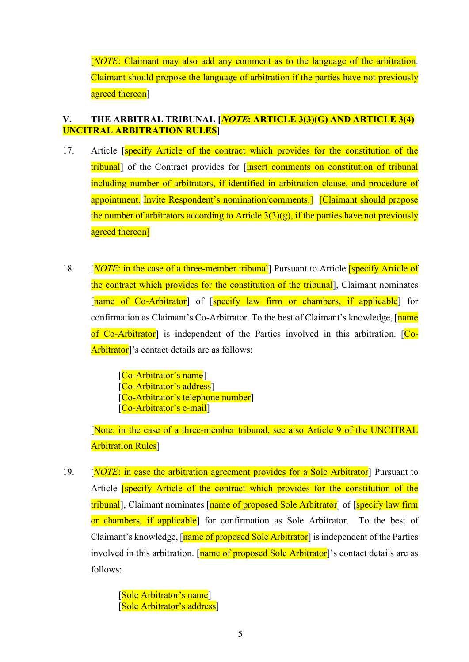[NOTE: Claimant may also add any comment as to the language of the arbitration. Claimant should propose the language of arbitration if the parties have not previously agreed thereon<sup>]</sup>

#### V. THE ARBITRAL TRIBUNAL *[NOTE*: ARTICLE 3(3)(G) AND ARTICLE 3(4) UNCITRAL ARBITRATION RULES]

- 17. Article **[specify Article of the contract which provides for the constitution of the** tribunal] of the Contract provides for [insert comments on constitution of tribunal including number of arbitrators, if identified in arbitration clause, and procedure of appointment. Invite Respondent's nomination/comments.] [Claimant should propose the number of arbitrators according to Article  $3(3)(g)$ , if the parties have not previously agreed thereon]
- 18. [NOTE: in the case of a three-member tribunal] Pursuant to Article **[specify Article of** the contract which provides for the constitution of the tribunal], Claimant nominates [name of Co-Arbitrator] of [specify law firm or chambers, if applicable] for confirmation as Claimant's Co-Arbitrator. To the best of Claimant's knowledge, [name] of Co-Arbitrator] is independent of the Parties involved in this arbitration. [Co-Arbitrator]'s contact details are as follows:

[Co-Arbitrator's name] [Co-Arbitrator's address] [Co-Arbitrator's telephone number] [Co-Arbitrator's e-mail]

[Note: in the case of a three-member tribunal, see also Article 9 of the UNCITRAL **Arbitration Rules**]

19. [*NOTE:* in case the arbitration agreement provides for a Sole Arbitrator<sup>]</sup> Pursuant to Article [specify Article of the contract which provides for the constitution of the tribunal], Claimant nominates [name of proposed Sole Arbitrator] of [specify law firm or chambers, if applicable] for confirmation as Sole Arbitrator. To the best of Claimant's knowledge, [name of proposed Sole Arbitrator] is independent of the Parties involved in this arbitration. [name of proposed Sole Arbitrator]'s contact details are as follows:

> [Sole Arbitrator's name] [Sole Arbitrator's address]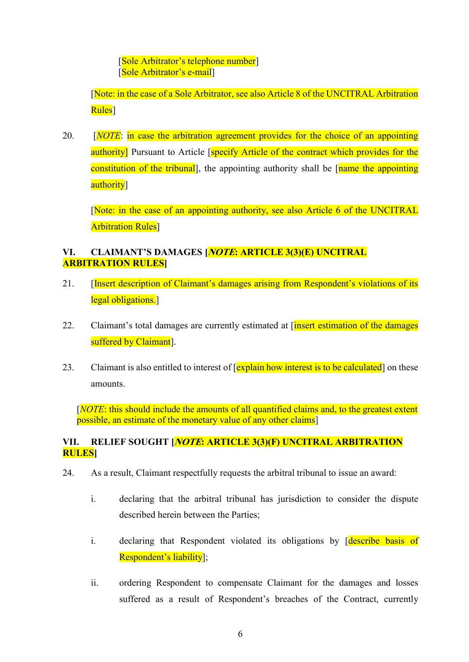[Sole Arbitrator's telephone number] [Sole Arbitrator's e-mail]

[Note: in the case of a Sole Arbitrator, see also Article 8 of the UNCITRAL Arbitration Rules]

20.  $[NOTE:$  in case the arbitration agreement provides for the choice of an appointing authority] Pursuant to Article [specify Article of the contract which provides for the constitution of the tribunal, the appointing authority shall be [name the appointing] authority<sup>1</sup>

[Note: in the case of an appointing authority, see also Article 6 of the UNCITRAL **Arbitration Rules** 

### VI. CLAIMANT'S DAMAGES [*NOTE*: ARTICLE 3(3)(E) UNCITRAL ARBITRATION RULES]

- 21. [Insert description of Claimant's damages arising from Respondent's violations of its legal obligations.
- 22. Claimant's total damages are currently estimated at [insert estimation of the damages suffered by Claimant<sup>]</sup>.
- 23. Claimant is also entitled to interest of [explain how interest is to be calculated] on these amounts.

[NOTE: this should include the amounts of all quantified claims and, to the greatest extent possible, an estimate of the monetary value of any other claims]

### VII. RELIEF SOUGHT [*NOTE*: ARTICLE 3(3)(F) UNCITRAL ARBITRATION **RULES**I

- 24. As a result, Claimant respectfully requests the arbitral tribunal to issue an award:
	- i. declaring that the arbitral tribunal has jurisdiction to consider the dispute described herein between the Parties;
	- i. declaring that Respondent violated its obligations by describe basis of Respondent's liability];
	- ii. ordering Respondent to compensate Claimant for the damages and losses suffered as a result of Respondent's breaches of the Contract, currently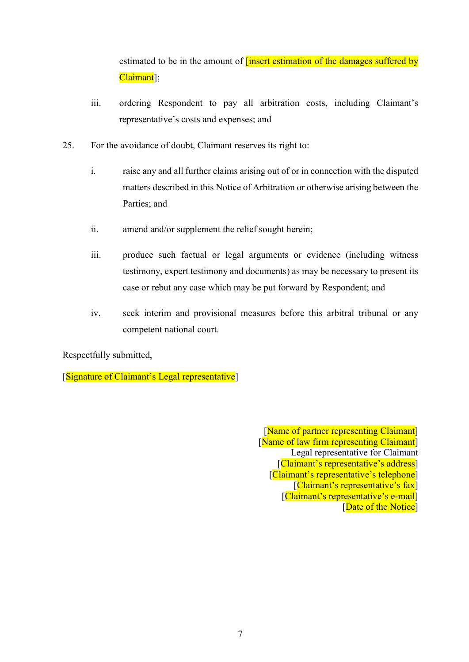estimated to be in the amount of **[insert estimation of the damages suffered by** Claimant];

- iii. ordering Respondent to pay all arbitration costs, including Claimant's representative's costs and expenses; and
- 25. For the avoidance of doubt, Claimant reserves its right to:
	- i. raise any and all further claims arising out of or in connection with the disputed matters described in this Notice of Arbitration or otherwise arising between the Parties; and
	- ii. amend and/or supplement the relief sought herein;
	- iii. produce such factual or legal arguments or evidence (including witness testimony, expert testimony and documents) as may be necessary to present its case or rebut any case which may be put forward by Respondent; and
	- iv. seek interim and provisional measures before this arbitral tribunal or any competent national court.

Respectfully submitted,

[Signature of Claimant's Legal representative]

[Name of partner representing Claimant] [Name of law firm representing Claimant] Legal representative for Claimant [Claimant's representative's address] [Claimant's representative's telephone] [Claimant's representative's fax] [Claimant's representative's e-mail] [Date of the Notice]